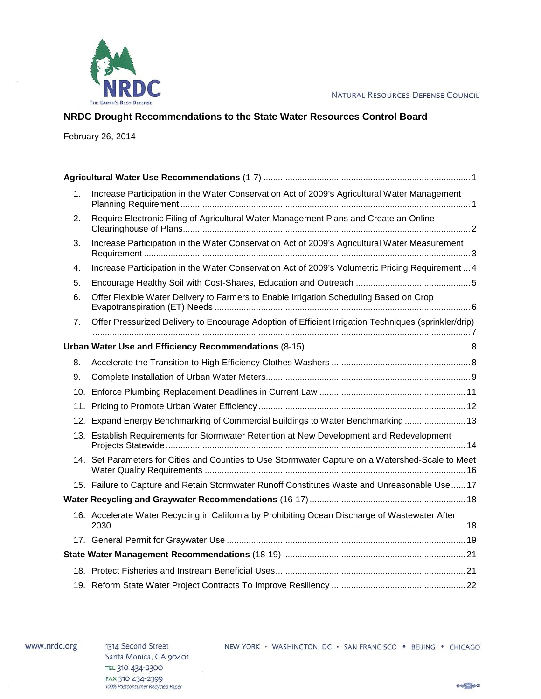

# **NRDC Drought Recommendations to the State Water Resources Control Board**

February 26, 2014

| 1. | Increase Participation in the Water Conservation Act of 2009's Agricultural Water Management         |
|----|------------------------------------------------------------------------------------------------------|
| 2. | Require Electronic Filing of Agricultural Water Management Plans and Create an Online                |
| 3. | Increase Participation in the Water Conservation Act of 2009's Agricultural Water Measurement        |
| 4. | Increase Participation in the Water Conservation Act of 2009's Volumetric Pricing Requirement  4     |
| 5. |                                                                                                      |
| 6. | Offer Flexible Water Delivery to Farmers to Enable Irrigation Scheduling Based on Crop               |
| 7. | Offer Pressurized Delivery to Encourage Adoption of Efficient Irrigation Techniques (sprinkler/drip) |
|    |                                                                                                      |
| 8. |                                                                                                      |
| 9. |                                                                                                      |
|    |                                                                                                      |
|    |                                                                                                      |
|    | 12. Expand Energy Benchmarking of Commercial Buildings to Water Benchmarking 13                      |
|    | 13. Establish Requirements for Stormwater Retention at New Development and Redevelopment             |
|    | 14. Set Parameters for Cities and Counties to Use Stormwater Capture on a Watershed-Scale to Meet    |
|    | 15. Failure to Capture and Retain Stormwater Runoff Constitutes Waste and Unreasonable Use 17        |
|    |                                                                                                      |
|    | 16. Accelerate Water Recycling in California by Prohibiting Ocean Discharge of Wastewater After      |
|    |                                                                                                      |
|    |                                                                                                      |
|    |                                                                                                      |
|    |                                                                                                      |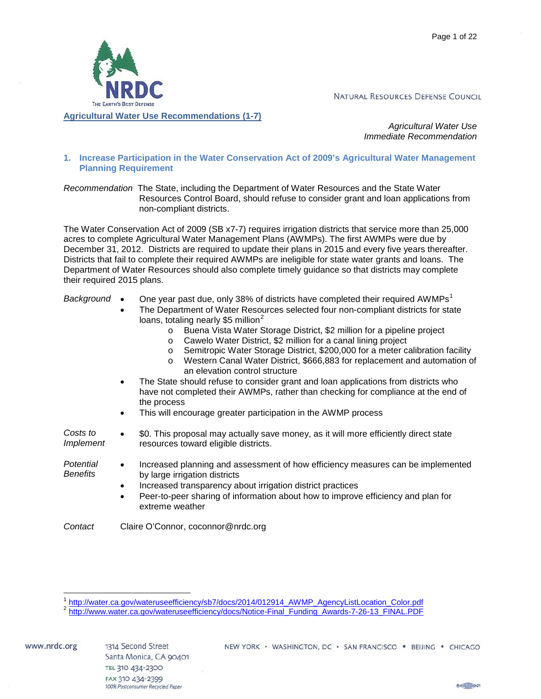

*Agricultural Water Use Immediate Recommendation*

<span id="page-1-1"></span><span id="page-1-0"></span>**1. Increase Participation in the Water Conservation Act of 2009's Agricultural Water Management Planning Requirement**

*Recommendation* The State, including the Department of Water Resources and the State Water Resources Control Board, should refuse to consider grant and loan applications from non-compliant districts.

The Water Conservation Act of 2009 (SB x7-7) requires irrigation districts that service more than 25,000 acres to complete Agricultural Water Management Plans (AWMPs). The first AWMPs were due by December 31, 2012. Districts are required to update their plans in 2015 and every five years thereafter. Districts that fail to complete their required AWMPs are ineligible for state water grants and loans. The Department of Water Resources should also complete timely guidance so that districts may complete their required 2015 plans.

- Background One year past due, only 38% of districts have completed their required AWMPs<sup>[1](#page-1-2)</sup>
	- The Department of Water Resources selected four non-compliant districts for state loans, totaling nearly \$5 million<sup>[2](#page-1-3)</sup>
		- o Buena Vista Water Storage District, \$2 million for a pipeline project
		- o Cawelo Water District, \$2 million for a canal lining project
		- o Semitropic Water Storage District, \$200,000 for a meter calibration facility
		- o Western Canal Water District, \$666,883 for replacement and automation of an elevation control structure
	- The State should refuse to consider grant and loan applications from districts who have not completed their AWMPs, rather than checking for compliance at the end of the process
	- This will encourage greater participation in the AWMP process
- *Costs to Implement* • \$0. This proposal may actually save money, as it will more efficiently direct state resources toward eligible districts.
- *Potential Benefits* • Increased planning and assessment of how efficiency measures can be implemented by large irrigation districts
	- Increased transparency about irrigation district practices
	- Peer-to-peer sharing of information about how to improve efficiency and plan for extreme weather

*Contact* Claire O'Connor, coconnor@nrdc.org



<span id="page-1-2"></span>[http://water.ca.gov/wateruseefficiency/sb7/docs/2014/012914\\_AWMP\\_AgencyListLocation\\_Color.pdf](http://water.ca.gov/wateruseefficiency/sb7/docs/2014/012914_AWMP_AgencyListLocation_Color.pdf)<br>[http://www.water.ca.gov/wateruseefficiency/docs/Notice-Final\\_Funding\\_Awards-7-26-13\\_FINAL.PDF](https://webmailwest.nrdc.org/owa/redir.aspx?C=NzMmP1Vxyk65xlpAYkAL3Zn6QveXANEI5g2NgA89KBGVFOs4AW2apYcx-5rMvhfOWERlBmYDqTM.&URL=http%3a%2f%2fwww.water.ca.gov%2fwateruseefficiency%2fdocs%2fNotice-Final_Funding_Awards-7-26-13_FINAL.PDF)

<span id="page-1-3"></span>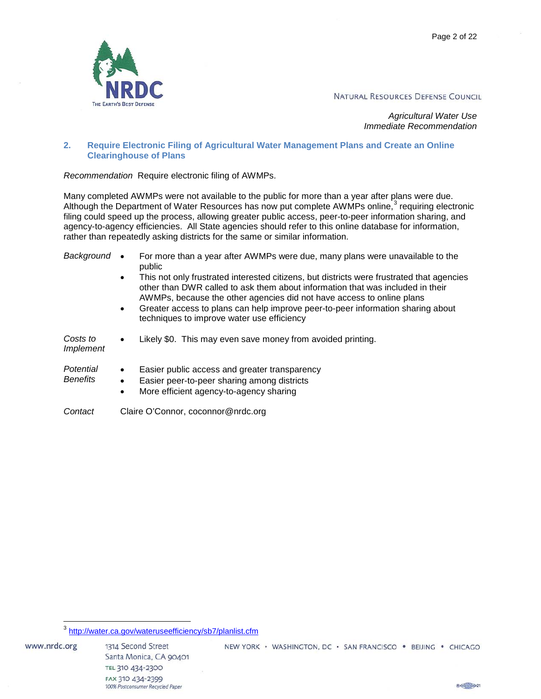

*Agricultural Water Use Immediate Recommendation*

#### <span id="page-2-0"></span>**2. Require Electronic Filing of Agricultural Water Management Plans and Create an Online Clearinghouse of Plans**

*Recommendation* Require electronic filing of AWMPs.

Many completed AWMPs were not available to the public for more than a year after plans were due. Although the Department of Water Resources has now put complete AWMPs online,<sup>[3](#page-2-1)</sup> requiring electronic filing could speed up the process, allowing greater public access, peer-to-peer information sharing, and agency-to-agency efficiencies. All State agencies should refer to this online database for information, rather than repeatedly asking districts for the same or similar information.

| Background                   |                                    | For more than a year after AWMPs were due, many plans were unavailable to the<br>public                                                                                                                                                              |
|------------------------------|------------------------------------|------------------------------------------------------------------------------------------------------------------------------------------------------------------------------------------------------------------------------------------------------|
|                              | $\bullet$                          | This not only frustrated interested citizens, but districts were frustrated that agencies<br>other than DWR called to ask them about information that was included in their<br>AWMPs, because the other agencies did not have access to online plans |
|                              | $\bullet$                          | Greater access to plans can help improve peer-to-peer information sharing about<br>techniques to improve water use efficiency                                                                                                                        |
| Costs to<br><i>Implement</i> |                                    | Likely \$0. This may even save money from avoided printing.                                                                                                                                                                                          |
| Potential<br><b>Benefits</b> | $\bullet$<br>$\bullet$             | Easier public access and greater transparency<br>Easier peer-to-peer sharing among districts<br>More efficient agency-to-agency sharing                                                                                                              |
| Contact                      | Claire O'Connor, coconnor@nrdc.org |                                                                                                                                                                                                                                                      |

 $8 \left( -221 \right)$ 

<span id="page-2-1"></span><sup>3</sup> <http://water.ca.gov/wateruseefficiency/sb7/planlist.cfm>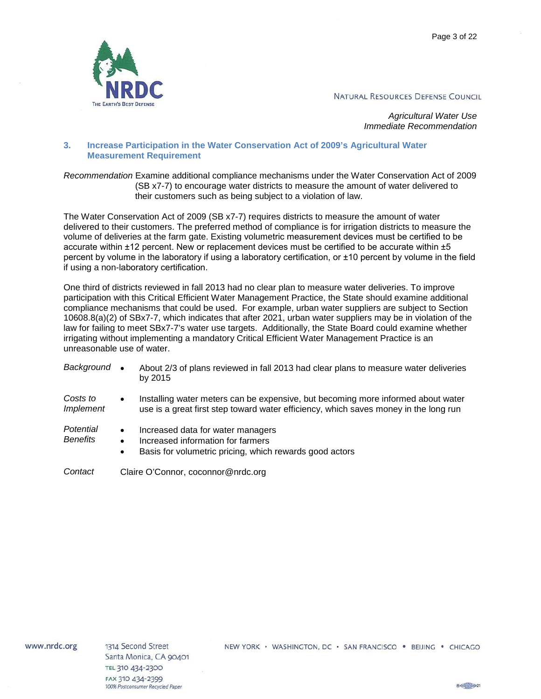Page 3 of 22



NATURAL RESOURCES DEFENSE COUNCIL

*Agricultural Water Use Immediate Recommendation*

#### <span id="page-3-0"></span>**3. Increase Participation in the Water Conservation Act of 2009's Agricultural Water Measurement Requirement**

*Recommendation* Examine additional compliance mechanisms under the Water Conservation Act of 2009 (SB x7-7) to encourage water districts to measure the amount of water delivered to their customers such as being subject to a violation of law.

The Water Conservation Act of 2009 (SB x7-7) requires districts to measure the amount of water delivered to their customers. The preferred method of compliance is for irrigation districts to measure the volume of deliveries at the farm gate. Existing volumetric measurement devices must be certified to be accurate within ±12 percent. New or replacement devices must be certified to be accurate within ±5 percent by volume in the laboratory if using a laboratory certification, or ±10 percent by volume in the field if using a non-laboratory certification.

One third of districts reviewed in fall 2013 had no clear plan to measure water deliveries. To improve participation with this Critical Efficient Water Management Practice, the State should examine additional compliance mechanisms that could be used. For example, urban water suppliers are subject to Section 10608.8(a)(2) of SBx7-7, which indicates that after 2021, urban water suppliers may be in violation of the law for failing to meet SBx7-7's water use targets. Additionally, the State Board could examine whether irrigating without implementing a mandatory Critical Efficient Water Management Practice is an unreasonable use of water.

| Background                   |                                    | About 2/3 of plans reviewed in fall 2013 had clear plans to measure water deliveries<br>by 2015                                                                          |
|------------------------------|------------------------------------|--------------------------------------------------------------------------------------------------------------------------------------------------------------------------|
| Costs to<br><i>Implement</i> | $\bullet$                          | Installing water meters can be expensive, but becoming more informed about water<br>use is a great first step toward water efficiency, which saves money in the long run |
| Potential<br><b>Benefits</b> | $\bullet$<br>٠<br>$\bullet$        | Increased data for water managers<br>Increased information for farmers<br>Basis for volumetric pricing, which rewards good actors                                        |
| Contact                      | Claire O'Connor, coconnor@nrdc.org |                                                                                                                                                                          |

www.nrdc.org

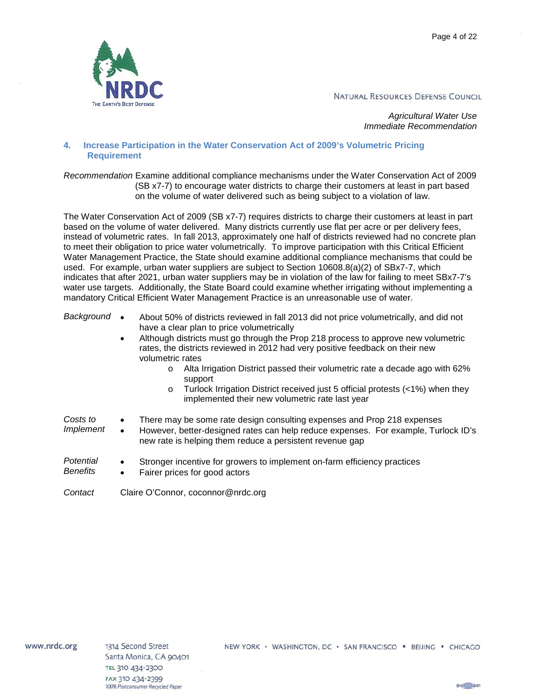Page 4 of 22



NATURAL RESOURCES DEFENSE COUNCIL

*Agricultural Water Use Immediate Recommendation*

<span id="page-4-0"></span>**4. Increase Participation in the Water Conservation Act of 2009's Volumetric Pricing Requirement**

*Recommendation* Examine additional compliance mechanisms under the Water Conservation Act of 2009 (SB x7-7) to encourage water districts to charge their customers at least in part based on the volume of water delivered such as being subject to a violation of law.

The Water Conservation Act of 2009 (SB x7-7) requires districts to charge their customers at least in part based on the volume of water delivered. Many districts currently use flat per acre or per delivery fees, instead of volumetric rates. In fall 2013, approximately one half of districts reviewed had no concrete plan to meet their obligation to price water volumetrically. To improve participation with this Critical Efficient Water Management Practice, the State should examine additional compliance mechanisms that could be used. For example, urban water suppliers are subject to Section 10608.8(a)(2) of SBx7-7, which indicates that after 2021, urban water suppliers may be in violation of the law for failing to meet SBx7-7's water use targets. Additionally, the State Board could examine whether irrigating without implementing a mandatory Critical Efficient Water Management Practice is an unreasonable use of water.

| Background •                 | $\bullet$              | About 50% of districts reviewed in fall 2013 did not price volumetrically, and did not<br>have a clear plan to price volumetrically<br>Although districts must go through the Prop 218 process to approve new volumetric<br>rates, the districts reviewed in 2012 had very positive feedback on their new<br>volumetric rates<br>Alta Irrigation District passed their volumetric rate a decade ago with 62%<br>$\circ$<br>support<br>Turlock Irrigation District received just 5 official protests (<1%) when they<br>$\circ$<br>implemented their new volumetric rate last year |  |
|------------------------------|------------------------|-----------------------------------------------------------------------------------------------------------------------------------------------------------------------------------------------------------------------------------------------------------------------------------------------------------------------------------------------------------------------------------------------------------------------------------------------------------------------------------------------------------------------------------------------------------------------------------|--|
| Costs to<br><i>Implement</i> | $\bullet$<br>$\bullet$ | There may be some rate design consulting expenses and Prop 218 expenses<br>However, better-designed rates can help reduce expenses. For example, Turlock ID's<br>new rate is helping them reduce a persistent revenue gap                                                                                                                                                                                                                                                                                                                                                         |  |
| Potential<br><b>Benefits</b> | $\bullet$<br>$\bullet$ | Stronger incentive for growers to implement on-farm efficiency practices<br>Fairer prices for good actors                                                                                                                                                                                                                                                                                                                                                                                                                                                                         |  |

*Contact* Claire O'Connor, coconnor@nrdc.org

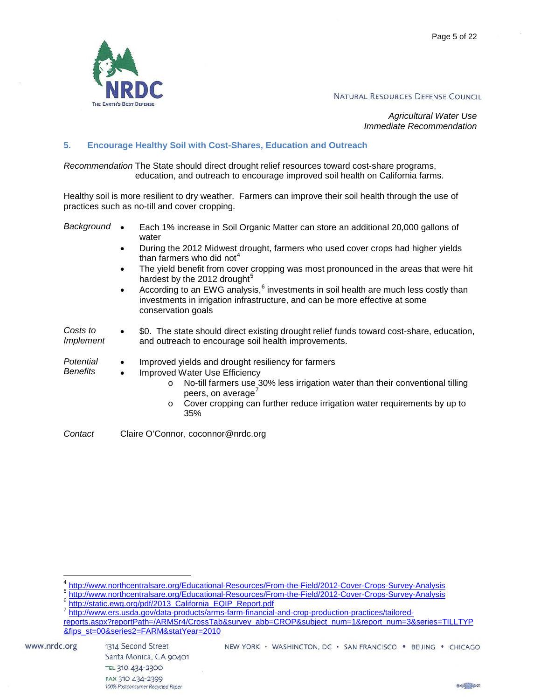

*Agricultural Water Use Immediate Recommendation*

#### <span id="page-5-0"></span>**5. Encourage Healthy Soil with Cost-Shares, Education and Outreach**

*Recommendation* The State should direct drought relief resources toward cost-share programs, education, and outreach to encourage improved soil health on California farms.

Healthy soil is more resilient to dry weather. Farmers can improve their soil health through the use of practices such as no-till and cover cropping.

*Background* • Each 1% increase in Soil Organic Matter can store an additional 20,000 gallons of water

- During the 2012 Midwest drought, farmers who used cover crops had higher yields than farmers who did not $4$
- The yield benefit from cover cropping was most pronounced in the areas that were hit hardest by the 2012 drought $<sup>5</sup>$  $<sup>5</sup>$  $<sup>5</sup>$ </sup>
- According to an EWG analysis, $<sup>6</sup>$  $<sup>6</sup>$  $<sup>6</sup>$  investments in soil health are much less costly than</sup> investments in irrigation infrastructure, and can be more effective at some conservation goals
- *Costs to Implement* • \$0. The state should direct existing drought relief funds toward cost-share, education, and outreach to encourage soil health improvements.
- *Potential Benefits* • Improved yields and drought resiliency for farmers
	- Improved Water Use Efficiency
		- o No-till farmers use 30% less irrigation water than their conventional tilling peers, on average $'$
		- o Cover cropping can further reduce irrigation water requirements by up to 35%

*Contact* Claire O'Connor, coconnor@nrdc.org

<span id="page-5-1"></span><sup>4</sup> <http://www.northcentralsare.org/Educational-Resources/From-the-Field/2012-Cover-Crops-Survey-Analysis><br>5 http://www.northcentralsare.org/Educational-Resources/From-the-Field/2012-Cover-Crops-Survey-Analysis<br>6 http://stati

<span id="page-5-4"></span><span id="page-5-3"></span><span id="page-5-2"></span>[reports.aspx?reportPath=/ARMSr4/CrossTab&survey\\_abb=CROP&subject\\_num=1&report\\_num=3&series=TILLTYP](http://www.ers.usda.gov/data-products/arms-farm-financial-and-crop-production-practices/tailored-reports.aspx?reportPath=/ARMSr4/CrossTab&survey_abb=CROP&subject_num=1&report_num=3&series=TILLTYP&fips_st=00&series2=FARM&statYear=2010) [&fips\\_st=00&series2=FARM&statYear=2010](http://www.ers.usda.gov/data-products/arms-farm-financial-and-crop-production-practices/tailored-reports.aspx?reportPath=/ARMSr4/CrossTab&survey_abb=CROP&subject_num=1&report_num=3&series=TILLTYP&fips_st=00&series2=FARM&statYear=2010)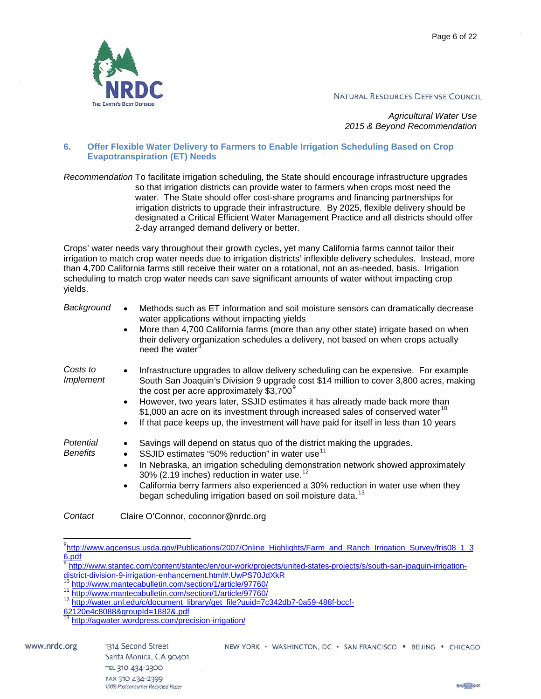Page 6 of 22



NATURAL RESOURCES DEFENSE COUNCIL

*Agricultural Water Use 2015 & Beyond Recommendation*

#### <span id="page-6-0"></span>**6. Offer Flexible Water Delivery to Farmers to Enable Irrigation Scheduling Based on Crop Evapotranspiration (ET) Needs**

*Recommendation* To facilitate irrigation scheduling, the State should encourage infrastructure upgrades so that irrigation districts can provide water to farmers when crops most need the water. The State should offer cost-share programs and financing partnerships for irrigation districts to upgrade their infrastructure. By 2025, flexible delivery should be designated a Critical Efficient Water Management Practice and all districts should offer 2-day arranged demand delivery or better.

Crops' water needs vary throughout their growth cycles, yet many California farms cannot tailor their irrigation to match crop water needs due to irrigation districts' inflexible delivery schedules. Instead, more than 4,700 California farms still receive their water on a rotational, not an as-needed, basis. Irrigation scheduling to match crop water needs can save significant amounts of water without impacting crop yields.

| Background                   | Methods such as ET information and soil moisture sensors can dramatically decrease<br>water applications without impacting yields<br>More than 4,700 California farms (more than any other state) irrigate based on when<br>their delivery organization schedules a delivery, not based on when crops actually<br>need the water <sup>8</sup>                                                                                                                                                                            |
|------------------------------|--------------------------------------------------------------------------------------------------------------------------------------------------------------------------------------------------------------------------------------------------------------------------------------------------------------------------------------------------------------------------------------------------------------------------------------------------------------------------------------------------------------------------|
| Costs to<br>Implement        | Infrastructure upgrades to allow delivery scheduling can be expensive. For example<br>South San Joaquin's Division 9 upgrade cost \$14 million to cover 3,800 acres, making<br>the cost per acre approximately \$3,700 <sup>9</sup><br>However, two years later, SSJID estimates it has already made back more than<br>$$1,000$ an acre on its investment through increased sales of conserved water <sup>10</sup><br>If that pace keeps up, the investment will have paid for itself in less than 10 years<br>$\bullet$ |
| Potential<br><b>Benefits</b> | Savings will depend on status quo of the district making the upgrades.<br>SSJID estimates "50% reduction" in water use <sup>11</sup><br>In Nebraska, an irrigation scheduling demonstration network showed approximately<br>$\bullet$<br>30% (2.19 inches) reduction in water use. <sup>12</sup><br>California berry farmers also experienced a 30% reduction in water use when they<br>began scheduling irrigation based on soil moisture data. <sup>13</sup>                                                           |

*Contact* Claire O'Connor, coconnor@nrdc.org

<span id="page-6-2"></span>9 http://www.stantec.com/content/stantec/en/our-work/projects/united-states-projects/s/south-san-joaquin-irrigation-<br>district-division-9-irrigation-enhancement.html#.UwPS70JdXkR<br>10 http://www.stantec.com/content/with-

<span id="page-6-1"></span><sup>-&</sup>lt;br>8 <sup>8</sup>[http://www.agcensus.usda.gov/Publications/2007/Online\\_Highlights/Farm\\_and\\_Ranch\\_Irrigation\\_Survey/fris08\\_1\\_3](http://www.agcensus.usda.gov/Publications/2007/Online_Highlights/Farm_and_Ranch_Irrigation_Survey/fris08_1_36.pdf) [6.pdf](http://www.agcensus.usda.gov/Publications/2007/Online_Highlights/Farm_and_Ranch_Irrigation_Survey/fris08_1_36.pdf)

<span id="page-6-4"></span><span id="page-6-3"></span><sup>10</sup> <http://www.mantecabulletin.com/section/1/article/97760/><br>11 http://www.mantecabulletin.com/section/1/article/97760/<br>12 [http://water.unl.edu/c/document\\_library/get\\_file?uuid=7c342db7-0a59-488f-bccf-](http://water.unl.edu/c/document_library/get_file?uuid=7c342db7-0a59-488f-bccf-62120e4c8088&groupId=1882&.pdf)

<span id="page-6-6"></span><span id="page-6-5"></span>[<sup>62120</sup>e4c8088&groupId=1882&.pdf](http://water.unl.edu/c/document_library/get_file?uuid=7c342db7-0a59-488f-bccf-62120e4c8088&groupId=1882&.pdf)

[http://agwater.wordpress.com/precision-irrigation/](https://webmailwest.nrdc.org/owa/redir.aspx?C=SKATMnhuH0CpSnKpzQ6WWd_RwlwhBdEIQf7KPYMUTkbGvsogViI3zDV6TVlxk6-cDsUXPVNGxLo.&URL=http%3a%2f%2fagwater.wordpress.com%2fprecision-irrigation%2f)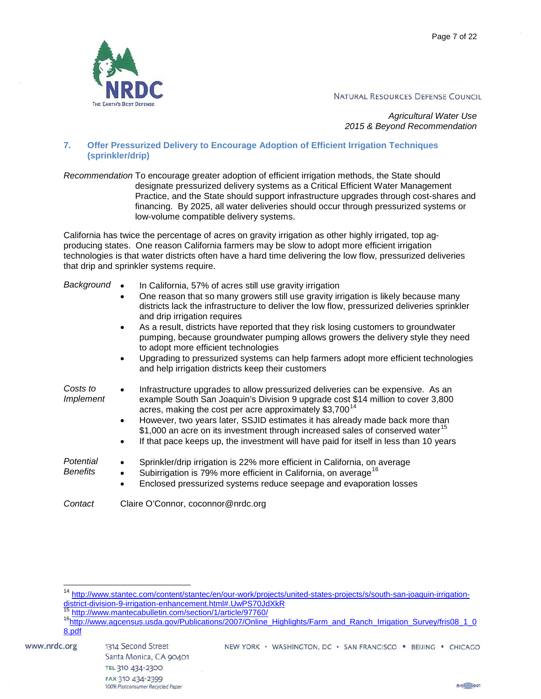

*Agricultural Water Use 2015 & Beyond Recommendation*

## <span id="page-7-0"></span>**7. Offer Pressurized Delivery to Encourage Adoption of Efficient Irrigation Techniques (sprinkler/drip)**

*Recommendation* To encourage greater adoption of efficient irrigation methods, the State should designate pressurized delivery systems as a Critical Efficient Water Management Practice, and the State should support infrastructure upgrades through cost-shares and financing. By 2025, all water deliveries should occur through pressurized systems or low-volume compatible delivery systems.

California has twice the percentage of acres on gravity irrigation as other highly irrigated, top agproducing states. One reason California farmers may be slow to adopt more efficient irrigation technologies is that water districts often have a hard time delivering the low flow, pressurized deliveries that drip and sprinkler systems require.

| Background                   | In California, 57% of acres still use gravity irrigation                                                                                                                                                                                                                                                                                                                                                                     |  |
|------------------------------|------------------------------------------------------------------------------------------------------------------------------------------------------------------------------------------------------------------------------------------------------------------------------------------------------------------------------------------------------------------------------------------------------------------------------|--|
|                              | One reason that so many growers still use gravity irrigation is likely because many<br>districts lack the infrastructure to deliver the low flow, pressurized deliveries sprinkler<br>and drip irrigation requires                                                                                                                                                                                                           |  |
|                              | As a result, districts have reported that they risk losing customers to groundwater<br>$\bullet$<br>pumping, because groundwater pumping allows growers the delivery style they need<br>to adopt more efficient technologies                                                                                                                                                                                                 |  |
|                              | Upgrading to pressurized systems can help farmers adopt more efficient technologies<br>and help irrigation districts keep their customers                                                                                                                                                                                                                                                                                    |  |
| Costs to<br><i>Implement</i> | Infrastructure upgrades to allow pressurized deliveries can be expensive. As an<br>example South San Joaquin's Division 9 upgrade cost \$14 million to cover 3,800<br>acres, making the cost per acre approximately \$3,700 <sup>14</sup><br>However, two years later, SSJID estimates it has already made back more than<br>٠<br>\$1,000 an acre on its investment through increased sales of conserved water <sup>15</sup> |  |
|                              | If that pace keeps up, the investment will have paid for itself in less than 10 years<br>٠                                                                                                                                                                                                                                                                                                                                   |  |
| Potential<br><b>Benefits</b> | Sprinkler/drip irrigation is 22% more efficient in California, on average<br>Subirrigation is 79% more efficient in California, on average <sup>16</sup><br>Enclosed pressurized systems reduce seepage and evaporation losses                                                                                                                                                                                               |  |
| Contact                      | Claire O'Connor, coconnor@nrdc.org                                                                                                                                                                                                                                                                                                                                                                                           |  |

<span id="page-7-1"></span><sup>&</sup>lt;sup>14</sup> [http://www.stantec.com/content/stantec/en/our-work/projects/united-states-projects/s/south-san-joaquin-irrigation](http://www.stantec.com/content/stantec/en/our-work/projects/united-states-projects/s/south-san-joaquin-irrigation-district-division-9-irrigation-enhancement.html#.UwPS70JdXkR)[district-division-9-irrigation-enhancement.html#.UwPS70JdXkR](http://www.stantec.com/content/stantec/en/our-work/projects/united-states-projects/s/south-san-joaquin-irrigation-district-division-9-irrigation-enhancement.html#.UwPS70JdXkR)<br>
<sup>15</sup><http://www.mantecabulletin.com/section/1/article/97760/><br>
<sup>16</sup>http://www.agcensus.usda.gov/Publications/2007/Online\_Highlights/Farm\_and\_Ranch\_Irrigation\_Surv

<span id="page-7-3"></span><span id="page-7-2"></span>[<sup>8.</sup>pdf](http://www.agcensus.usda.gov/Publications/2007/Online_Highlights/Farm_and_Ranch_Irrigation_Survey/fris08_1_08.pdf)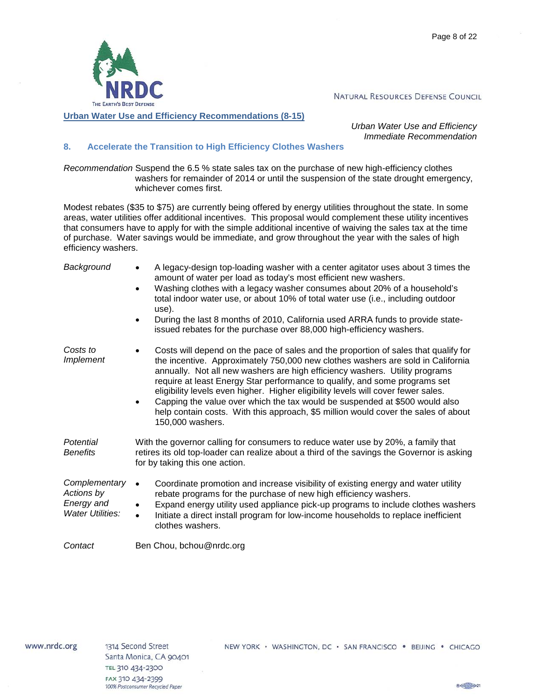

<span id="page-8-0"></span>**Urban Water Use and Efficiency Recommendations (8-15)**

*Urban Water Use and Efficiency Immediate Recommendation*

#### <span id="page-8-1"></span>**8. Accelerate the Transition to High Efficiency Clothes Washers**

*Recommendation* Suspend the 6.5 % state sales tax on the purchase of new high-efficiency clothes washers for remainder of 2014 or until the suspension of the state drought emergency, whichever comes first.

Modest rebates (\$35 to \$75) are currently being offered by energy utilities throughout the state. In some areas, water utilities offer additional incentives. This proposal would complement these utility incentives that consumers have to apply for with the simple additional incentive of waiving the sales tax at the time of purchase. Water savings would be immediate, and grow throughout the year with the sales of high efficiency washers.

| Background                                                           | A legacy-design top-loading washer with a center agitator uses about 3 times the<br>$\bullet$<br>amount of water per load as today's most efficient new washers.<br>Washing clothes with a legacy washer consumes about 20% of a household's<br>$\bullet$<br>total indoor water use, or about 10% of total water use (i.e., including outdoor<br>use).<br>During the last 8 months of 2010, California used ARRA funds to provide state-<br>$\bullet$<br>issued rebates for the purchase over 88,000 high-efficiency washers.                                                                                                               |
|----------------------------------------------------------------------|---------------------------------------------------------------------------------------------------------------------------------------------------------------------------------------------------------------------------------------------------------------------------------------------------------------------------------------------------------------------------------------------------------------------------------------------------------------------------------------------------------------------------------------------------------------------------------------------------------------------------------------------|
| Costs to<br><i>Implement</i>                                         | Costs will depend on the pace of sales and the proportion of sales that qualify for<br>$\bullet$<br>the incentive. Approximately 750,000 new clothes washers are sold in California<br>annually. Not all new washers are high efficiency washers. Utility programs<br>require at least Energy Star performance to qualify, and some programs set<br>eligibility levels even higher. Higher eligibility levels will cover fewer sales.<br>Capping the value over which the tax would be suspended at \$500 would also<br>$\bullet$<br>help contain costs. With this approach, \$5 million would cover the sales of about<br>150,000 washers. |
| Potential<br><b>Benefits</b>                                         | With the governor calling for consumers to reduce water use by 20%, a family that<br>retires its old top-loader can realize about a third of the savings the Governor is asking<br>for by taking this one action.                                                                                                                                                                                                                                                                                                                                                                                                                           |
| Complementary<br>Actions by<br>Energy and<br><b>Water Utilities:</b> | Coordinate promotion and increase visibility of existing energy and water utility<br>$\bullet$<br>rebate programs for the purchase of new high efficiency washers.<br>Expand energy utility used appliance pick-up programs to include clothes washers<br>$\bullet$<br>Initiate a direct install program for low-income households to replace inefficient<br>$\bullet$<br>clothes washers.                                                                                                                                                                                                                                                  |
| Contact                                                              | Ben Chou, bchou@nrdc.org                                                                                                                                                                                                                                                                                                                                                                                                                                                                                                                                                                                                                    |

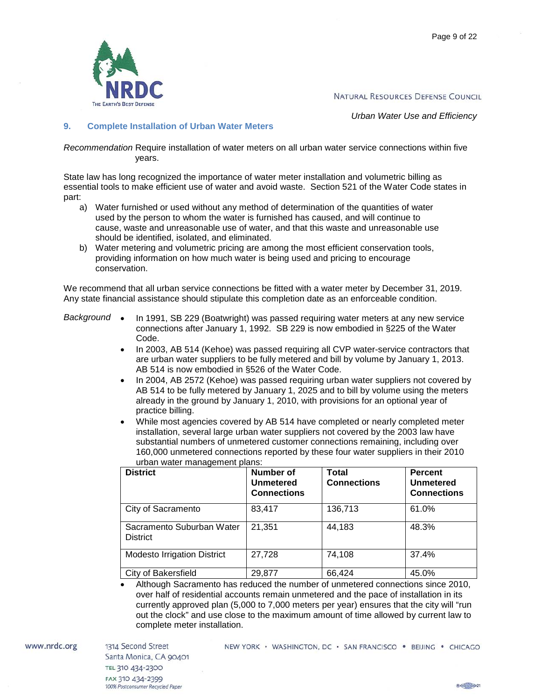

*Urban Water Use and Efficiency*

#### <span id="page-9-0"></span>**9. Complete Installation of Urban Water Meters**

*Recommendation* Require installation of water meters on all urban water service connections within five years.

State law has long recognized the importance of water meter installation and volumetric billing as essential tools to make efficient use of water and avoid waste. Section 521 of the Water Code states in part:

- a) Water furnished or used without any method of determination of the quantities of water used by the person to whom the water is furnished has caused, and will continue to cause, waste and unreasonable use of water, and that this waste and unreasonable use should be identified, isolated, and eliminated.
- b) Water metering and volumetric pricing are among the most efficient conservation tools, providing information on how much water is being used and pricing to encourage conservation.

We recommend that all urban service connections be fitted with a water meter by December 31, 2019. Any state financial assistance should stipulate this completion date as an enforceable condition.

- *Background* In 1991, SB 229 (Boatwright) was passed requiring water meters at any new service connections after January 1, 1992. SB 229 is now embodied in §225 of the Water Code.
	- In 2003, AB 514 (Kehoe) was passed requiring all CVP water-service contractors that are urban water suppliers to be fully metered and bill by volume by January 1, 2013. AB 514 is now embodied in §526 of the Water Code.
	- In 2004, AB 2572 (Kehoe) was passed requiring urban water suppliers not covered by AB 514 to be fully metered by January 1, 2025 and to bill by volume using the meters already in the ground by January 1, 2010, with provisions for an optional year of practice billing.
	- While most agencies covered by AB 514 have completed or nearly completed meter installation, several large urban water suppliers not covered by the 2003 law have substantial numbers of unmetered customer connections remaining, including over 160,000 unmetered connections reported by these four water suppliers in their 2010 urban water management plans:

| <b>District</b>                              | Number of<br><b>Unmetered</b><br><b>Connections</b> | <b>Total</b><br><b>Connections</b> | <b>Percent</b><br><b>Unmetered</b><br><b>Connections</b> |
|----------------------------------------------|-----------------------------------------------------|------------------------------------|----------------------------------------------------------|
| City of Sacramento                           | 83,417                                              | 136,713                            | 61.0%                                                    |
| Sacramento Suburban Water<br><b>District</b> | 21,351                                              | 44,183                             | 48.3%                                                    |
| <b>Modesto Irrigation District</b>           | 27,728                                              | 74,108                             | 37.4%                                                    |
| City of Bakersfield                          | 29,877                                              | 66,424                             | 45.0%                                                    |

• Although Sacramento has reduced the number of unmetered connections since 2010, over half of residential accounts remain unmetered and the pace of installation in its currently approved plan (5,000 to 7,000 meters per year) ensures that the city will "run out the clock" and use close to the maximum amount of time allowed by current law to complete meter installation.

www.nrdc.org

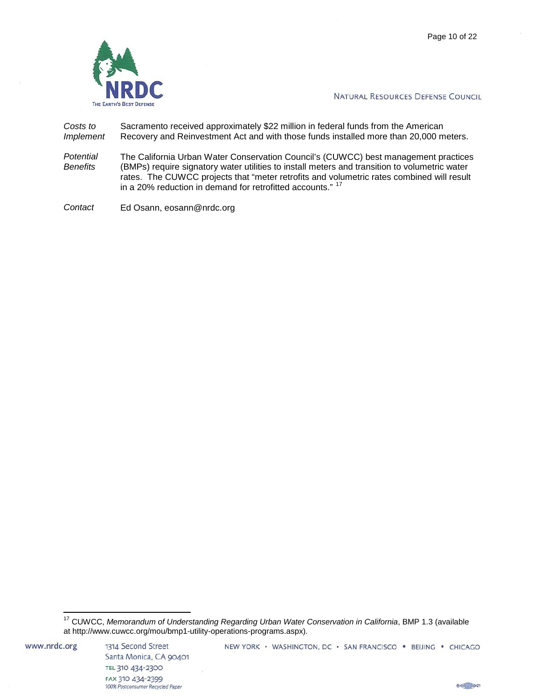

*Costs to Implement* Sacramento received approximately \$22 million in federal funds from the American Recovery and Reinvestment Act and with those funds installed more than 20,000 meters.

*Potential Benefits* The California Urban Water Conservation Council's (CUWCC) best management practices (BMPs) require signatory water utilities to install meters and transition to volumetric water rates. The CUWCC projects that "meter retrofits and volumetric rates combined will result in a 20% reduction in demand for retrofitted accounts." <sup>[17](#page-10-0)</sup>

*Contact* Ed Osann, eosann@nrdc.org

<span id="page-10-0"></span><sup>17</sup> CUWCC, *Memorandum of Understanding Regarding Urban Water Conservation in California*, BMP 1.3 (available at http://www.cuwcc.org/mou/bmp1-utility-operations-programs.aspx).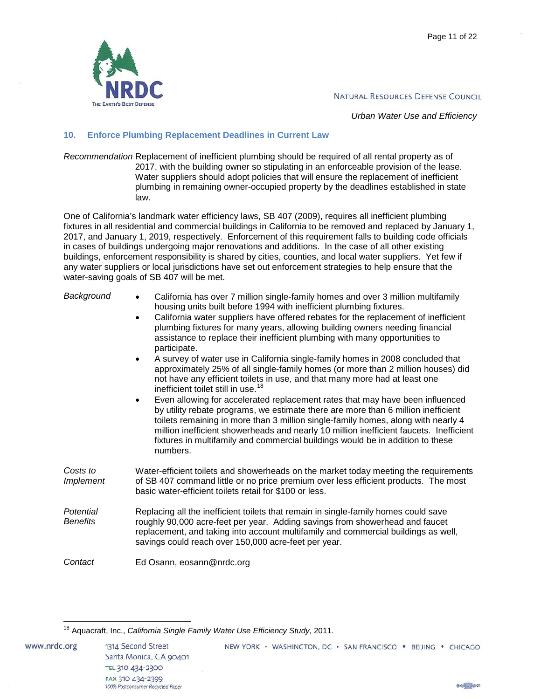

*Urban Water Use and Efficiency*

#### <span id="page-11-0"></span>**10. Enforce Plumbing Replacement Deadlines in Current Law**

*Recommendation* Replacement of inefficient plumbing should be required of all rental property as of 2017, with the building owner so stipulating in an enforceable provision of the lease. Water suppliers should adopt policies that will ensure the replacement of inefficient plumbing in remaining owner-occupied property by the deadlines established in state law.

One of California's landmark water efficiency laws, SB 407 (2009), requires all inefficient plumbing fixtures in all residential and commercial buildings in California to be removed and replaced by January 1, 2017, and January 1, 2019, respectively. Enforcement of this requirement falls to building code officials in cases of buildings undergoing major renovations and additions. In the case of all other existing buildings, enforcement responsibility is shared by cities, counties, and local water suppliers. Yet few if any water suppliers or local jurisdictions have set out enforcement strategies to help ensure that the water-saving goals of SB 407 will be met.

| Background                   | California has over 7 million single-family homes and over 3 million multifamily<br>$\bullet$<br>housing units built before 1994 with inefficient plumbing fixtures.<br>California water suppliers have offered rebates for the replacement of inefficient<br>$\bullet$<br>plumbing fixtures for many years, allowing building owners needing financial<br>assistance to replace their inefficient plumbing with many opportunities to<br>participate.<br>A survey of water use in California single-family homes in 2008 concluded that<br>approximately 25% of all single-family homes (or more than 2 million houses) did<br>not have any efficient toilets in use, and that many more had at least one<br>inefficient toilet still in use. <sup>18</sup><br>Even allowing for accelerated replacement rates that may have been influenced<br>$\bullet$<br>by utility rebate programs, we estimate there are more than 6 million inefficient<br>toilets remaining in more than 3 million single-family homes, along with nearly 4<br>million inefficient showerheads and nearly 10 million inefficient faucets. Inefficient<br>fixtures in multifamily and commercial buildings would be in addition to these<br>numbers. |
|------------------------------|------------------------------------------------------------------------------------------------------------------------------------------------------------------------------------------------------------------------------------------------------------------------------------------------------------------------------------------------------------------------------------------------------------------------------------------------------------------------------------------------------------------------------------------------------------------------------------------------------------------------------------------------------------------------------------------------------------------------------------------------------------------------------------------------------------------------------------------------------------------------------------------------------------------------------------------------------------------------------------------------------------------------------------------------------------------------------------------------------------------------------------------------------------------------------------------------------------------------------|
| Costs to<br><i>Implement</i> | Water-efficient toilets and showerheads on the market today meeting the requirements<br>of SB 407 command little or no price premium over less efficient products. The most<br>basic water-efficient toilets retail for \$100 or less.                                                                                                                                                                                                                                                                                                                                                                                                                                                                                                                                                                                                                                                                                                                                                                                                                                                                                                                                                                                       |
| Potential<br><b>Benefits</b> | Replacing all the inefficient toilets that remain in single-family homes could save<br>roughly 90,000 acre-feet per year. Adding savings from showerhead and faucet<br>replacement, and taking into account multifamily and commercial buildings as well,<br>savings could reach over 150,000 acre-feet per year.                                                                                                                                                                                                                                                                                                                                                                                                                                                                                                                                                                                                                                                                                                                                                                                                                                                                                                            |
| Contact                      | Ed Osann, eosann@nrdc.org                                                                                                                                                                                                                                                                                                                                                                                                                                                                                                                                                                                                                                                                                                                                                                                                                                                                                                                                                                                                                                                                                                                                                                                                    |

 $B \left( \frac{1}{2} \right) \geq 21$ 

<span id="page-11-1"></span><sup>18</sup> Aquacraft, Inc., *California Single Family Water Use Efficiency Study*, 2011.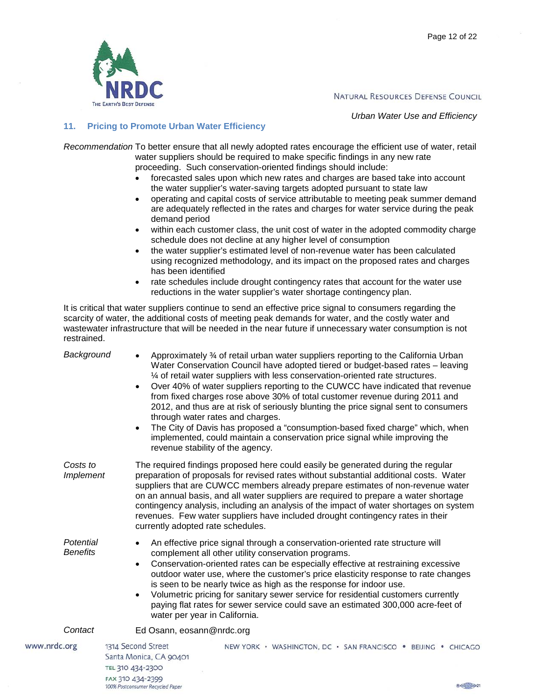

*Urban Water Use and Efficiency*

# <span id="page-12-0"></span>**11. Pricing to Promote Urban Water Efficiency**

100% Postconsumer Recycled Paper

*Recommendation* To better ensure that all newly adopted rates encourage the efficient use of water, retail water suppliers should be required to make specific findings in any new rate proceeding. Such conservation-oriented findings should include:

- forecasted sales upon which new rates and charges are based take into account the water supplier's water-saving targets adopted pursuant to state law
- operating and capital costs of service attributable to meeting peak summer demand are adequately reflected in the rates and charges for water service during the peak demand period
- within each customer class, the unit cost of water in the adopted commodity charge schedule does not decline at any higher level of consumption
- the water supplier's estimated level of non-revenue water has been calculated using recognized methodology, and its impact on the proposed rates and charges has been identified
- rate schedules include drought contingency rates that account for the water use reductions in the water supplier's water shortage contingency plan.

It is critical that water suppliers continue to send an effective price signal to consumers regarding the scarcity of water, the additional costs of meeting peak demands for water, and the costly water and wastewater infrastructure that will be needed in the near future if unnecessary water consumption is not restrained.

| Background                   | Approximately 34 of retail urban water suppliers reporting to the California Urban<br>$\bullet$<br>Water Conservation Council have adopted tiered or budget-based rates - leaving<br>1⁄4 of retail water suppliers with less conservation-oriented rate structures.<br>Over 40% of water suppliers reporting to the CUWCC have indicated that revenue<br>$\bullet$<br>from fixed charges rose above 30% of total customer revenue during 2011 and<br>2012, and thus are at risk of seriously blunting the price signal sent to consumers<br>through water rates and charges.<br>The City of Davis has proposed a "consumption-based fixed charge" which, when<br>$\bullet$<br>implemented, could maintain a conservation price signal while improving the<br>revenue stability of the agency. |
|------------------------------|-----------------------------------------------------------------------------------------------------------------------------------------------------------------------------------------------------------------------------------------------------------------------------------------------------------------------------------------------------------------------------------------------------------------------------------------------------------------------------------------------------------------------------------------------------------------------------------------------------------------------------------------------------------------------------------------------------------------------------------------------------------------------------------------------|
| Costs to<br><b>Implement</b> | The required findings proposed here could easily be generated during the regular<br>preparation of proposals for revised rates without substantial additional costs. Water<br>suppliers that are CUWCC members already prepare estimates of non-revenue water<br>on an annual basis, and all water suppliers are required to prepare a water shortage<br>contingency analysis, including an analysis of the impact of water shortages on system<br>revenues. Few water suppliers have included drought contingency rates in their<br>currently adopted rate schedules.                                                                                                                                                                                                                        |
| Potential<br><b>Benefits</b> | An effective price signal through a conservation-oriented rate structure will<br>$\bullet$<br>complement all other utility conservation programs.<br>Conservation-oriented rates can be especially effective at restraining excessive<br>$\bullet$<br>outdoor water use, where the customer's price elasticity response to rate changes<br>is seen to be nearly twice as high as the response for indoor use.<br>Volumetric pricing for sanitary sewer service for residential customers currently<br>$\bullet$<br>paying flat rates for sewer service could save an estimated 300,000 acre-feet of<br>water per year in California.                                                                                                                                                          |
| Contact                      | Ed Osann, eosann@nrdc.org                                                                                                                                                                                                                                                                                                                                                                                                                                                                                                                                                                                                                                                                                                                                                                     |
| www.nrdc.org                 | 1314 Second Street<br>NEW YORK · WASHINGTON, DC · SAN FRANCISCO · BEIJING · CHICAGO<br>Santa Monica, CA 90401<br>TEL 310 434-2300<br>FAX 310 434-2399                                                                                                                                                                                                                                                                                                                                                                                                                                                                                                                                                                                                                                         |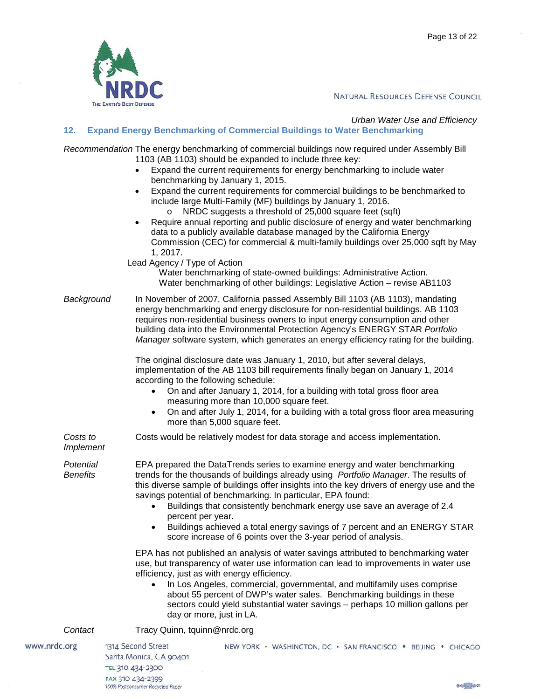

# <span id="page-13-0"></span>*Urban Water Use and Efficiency* **12. Expand Energy Benchmarking of Commercial Buildings to Water Benchmarking**

*Recommendation* The energy benchmarking of commercial buildings now required under Assembly Bill 1103 (AB 1103) should be expanded to include three key:

- Expand the current requirements for energy benchmarking to include water benchmarking by January 1, 2015.
- Expand the current requirements for commercial buildings to be benchmarked to include large Multi-Family (MF) buildings by January 1, 2016.
	- o NRDC suggests a threshold of 25,000 square feet (sqft)
- Require annual reporting and public disclosure of energy and water benchmarking data to a publicly available database managed by the California Energy Commission (CEC) for commercial & multi-family buildings over 25,000 sqft by May 1, 2017.

Lead Agency / Type of Action

Water benchmarking of state-owned buildings: Administrative Action. Water benchmarking of other buildings: Legislative Action – revise AB1103

*Background* In November of 2007, California passed Assembly Bill 1103 (AB 1103), mandating energy benchmarking and energy disclosure for non-residential buildings. AB 1103 requires non-residential business owners to input energy consumption and other building data into the Environmental Protection Agency's ENERGY STAR *Portfolio Manager* software system, which generates an energy efficiency rating for the building.

> The original disclosure date was January 1, 2010, but after several delays, implementation of the AB 1103 bill requirements finally began on January 1, 2014 according to the following schedule:

- On and after January 1, 2014, for a building with total gross floor area measuring more than 10,000 square feet.
- On and after July 1, 2014, for a building with a total gross floor area measuring more than 5,000 square feet.

Costs would be relatively modest for data storage and access implementation.

*Costs to Implement*

*Potential Benefits*

EPA prepared the DataTrends series to examine energy and water benchmarking trends for the thousands of buildings already using *Portfolio Manager*. The results of this diverse sample of buildings offer insights into the key drivers of energy use and the savings potential of benchmarking. In particular, EPA found:

- Buildings that consistently benchmark energy use save an average of 2.4 percent per year.
- Buildings achieved a total energy savings of 7 percent and an ENERGY STAR score increase of 6 points over the 3-year period of analysis.

EPA has not published an analysis of water savings attributed to benchmarking water use, but transparency of water use information can lead to improvements in water use efficiency, just as with energy efficiency.

• In Los Angeles, commercial, governmental, and multifamily uses comprise about 55 percent of DWP's water sales. Benchmarking buildings in these sectors could yield substantial water savings – perhaps 10 million gallons per day or more, just in LA.

# **Contact** Tracy Quinn, tquinn@nrdc.org

www.nrdc.org

1314 Second Street Santa Monica, CA 90401 TEL 310 434-2300 FAX 310 434-2399 100% Postconsumer Recycled Paper

NEW YORK · WASHINGTON, DC · SAN FRANCISCO · BEIJING · CHICAGO

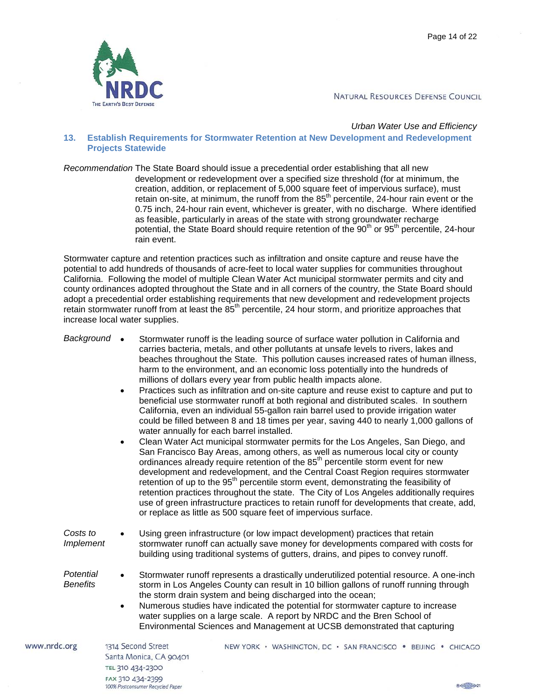

TEL 310 434-2300 FAX 310 434-2399

100% Postconsumer Recycled Paper

NATURAL RESOURCES DEFENSE COUNCIL

#### <span id="page-14-0"></span>*Urban Water Use and Efficiency* **13. Establish Requirements for Stormwater Retention at New Development and Redevelopment Projects Statewide**

*Recommendation* The State Board should issue a precedential order establishing that all new development or redevelopment over a specified size threshold (for at minimum, the creation, addition, or replacement of 5,000 square feet of impervious surface), must retain on-site, at minimum, the runoff from the  $85<sup>th</sup>$  percentile, 24-hour rain event or the 0.75 inch, 24-hour rain event, whichever is greater, with no discharge. Where identified as feasible, particularly in areas of the state with strong groundwater recharge potential, the State Board should require retention of the 90<sup>th</sup> or 95<sup>th</sup> percentile, 24-hour rain event.

Stormwater capture and retention practices such as infiltration and onsite capture and reuse have the potential to add hundreds of thousands of acre-feet to local water supplies for communities throughout California. Following the model of multiple Clean Water Act municipal stormwater permits and city and county ordinances adopted throughout the State and in all corners of the country, the State Board should adopt a precedential order establishing requirements that new development and redevelopment projects retain stormwater runoff from at least the 85<sup>th</sup> percentile, 24 hour storm, and prioritize approaches that increase local water supplies.

| Background                   | Stormwater runoff is the leading source of surface water pollution in California and<br>carries bacteria, metals, and other pollutants at unsafe levels to rivers, lakes and<br>beaches throughout the State. This pollution causes increased rates of human illness,<br>harm to the environment, and an economic loss potentially into the hundreds of<br>millions of dollars every year from public health impacts alone.<br>Practices such as infiltration and on-site capture and reuse exist to capture and put to<br>$\bullet$<br>beneficial use stormwater runoff at both regional and distributed scales. In southern<br>California, even an individual 55-gallon rain barrel used to provide irrigation water<br>could be filled between 8 and 18 times per year, saving 440 to nearly 1,000 gallons of<br>water annually for each barrel installed.<br>Clean Water Act municipal stormwater permits for the Los Angeles, San Diego, and<br>$\bullet$<br>San Francisco Bay Areas, among others, as well as numerous local city or county<br>ordinances already require retention of the 85 <sup>th</sup> percentile storm event for new<br>development and redevelopment, and the Central Coast Region requires stormwater<br>retention of up to the 95 <sup>th</sup> percentile storm event, demonstrating the feasibility of<br>retention practices throughout the state. The City of Los Angeles additionally requires<br>use of green infrastructure practices to retain runoff for developments that create, add,<br>or replace as little as 500 square feet of impervious surface. |
|------------------------------|---------------------------------------------------------------------------------------------------------------------------------------------------------------------------------------------------------------------------------------------------------------------------------------------------------------------------------------------------------------------------------------------------------------------------------------------------------------------------------------------------------------------------------------------------------------------------------------------------------------------------------------------------------------------------------------------------------------------------------------------------------------------------------------------------------------------------------------------------------------------------------------------------------------------------------------------------------------------------------------------------------------------------------------------------------------------------------------------------------------------------------------------------------------------------------------------------------------------------------------------------------------------------------------------------------------------------------------------------------------------------------------------------------------------------------------------------------------------------------------------------------------------------------------------------------------------------------------------------|
| Costs to<br><b>Implement</b> | Using green infrastructure (or low impact development) practices that retain<br>stormwater runoff can actually save money for developments compared with costs for<br>building using traditional systems of gutters, drains, and pipes to convey runoff.                                                                                                                                                                                                                                                                                                                                                                                                                                                                                                                                                                                                                                                                                                                                                                                                                                                                                                                                                                                                                                                                                                                                                                                                                                                                                                                                          |
| Potential<br><b>Benefits</b> | Stormwater runoff represents a drastically underutilized potential resource. A one-inch<br>$\bullet$<br>storm in Los Angeles County can result in 10 billion gallons of runoff running through<br>the storm drain system and being discharged into the ocean;<br>Numerous studies have indicated the potential for stormwater capture to increase<br>$\bullet$<br>water supplies on a large scale. A report by NRDC and the Bren School of<br>Environmental Sciences and Management at UCSB demonstrated that capturing                                                                                                                                                                                                                                                                                                                                                                                                                                                                                                                                                                                                                                                                                                                                                                                                                                                                                                                                                                                                                                                                           |
| www.nrdc.org                 | 1314 Second Street<br>NEW YORK · WASHINGTON, DC · SAN FRANCISCO · BEIJING · CHICAGO<br>Santa Monica CA 90401                                                                                                                                                                                                                                                                                                                                                                                                                                                                                                                                                                                                                                                                                                                                                                                                                                                                                                                                                                                                                                                                                                                                                                                                                                                                                                                                                                                                                                                                                      |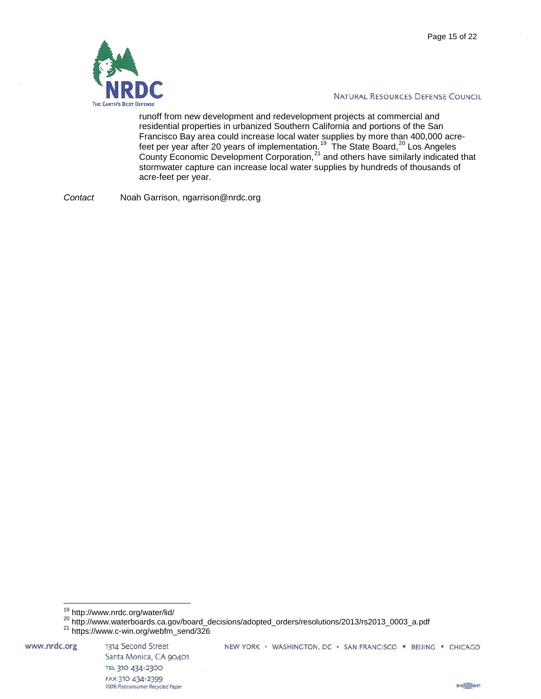

runoff from new development and redevelopment projects at commercial and residential properties in urbanized Southern California and portions of the San Francisco Bay area could increase local water supplies by more than 400,000 acre-feet per year after [20](#page-15-1) years of implementation.<sup>19</sup> The State Board,<sup>20</sup> Los Angeles County Economic Development Corporation, $21$  and others have similarly indicated that stormwater capture can increase local water supplies by hundreds of thousands of acre-feet per year.

*Contact* Noah Garrison, ngarrison@nrdc.org

<span id="page-15-2"></span><span id="page-15-1"></span><span id="page-15-0"></span>www.nrdc.org



<sup>&</sup>lt;sup>19</sup> http://www.nrdc.org/water/lid/<br><sup>20</sup> http://www.waterboards.ca.gov/board\_decisions/adopted\_orders/resolutions/2013/rs2013\_0003\_a.pdf<br><sup>21</sup> https://www.c-win.org/webfm\_send/326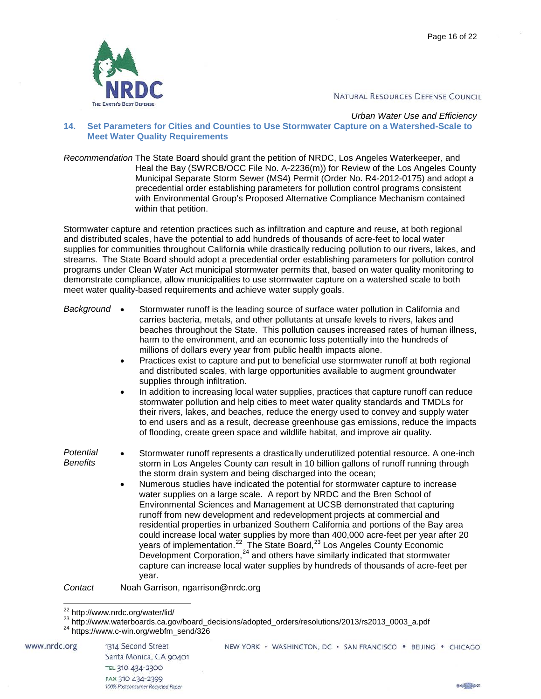

#### <span id="page-16-0"></span>*Urban Water Use and Efficiency* **14. Set Parameters for Cities and Counties to Use Stormwater Capture on a Watershed-Scale to Meet Water Quality Requirements**

*Recommendation* The State Board should grant the petition of NRDC, Los Angeles Waterkeeper, and Heal the Bay (SWRCB/OCC File No. A-2236(m)) for Review of the Los Angeles County Municipal Separate Storm Sewer (MS4) Permit (Order No. R4-2012-0175) and adopt a precedential order establishing parameters for pollution control programs consistent with Environmental Group's Proposed Alternative Compliance Mechanism contained within that petition.

Stormwater capture and retention practices such as infiltration and capture and reuse, at both regional and distributed scales, have the potential to add hundreds of thousands of acre-feet to local water supplies for communities throughout California while drastically reducing pollution to our rivers, lakes, and streams. The State Board should adopt a precedential order establishing parameters for pollution control programs under Clean Water Act municipal stormwater permits that, based on water quality monitoring to demonstrate compliance, allow municipalities to use stormwater capture on a watershed scale to both meet water quality-based requirements and achieve water supply goals.

| Background                   | Stormwater runoff is the leading source of surface water pollution in California and<br>carries bacteria, metals, and other pollutants at unsafe levels to rivers, lakes and<br>beaches throughout the State. This pollution causes increased rates of human illness,<br>harm to the environment, and an economic loss potentially into the hundreds of<br>millions of dollars every year from public health impacts alone.<br>Practices exist to capture and put to beneficial use stormwater runoff at both regional<br>and distributed scales, with large opportunities available to augment groundwater<br>supplies through infiltration.<br>In addition to increasing local water supplies, practices that capture runoff can reduce<br>stormwater pollution and help cities to meet water quality standards and TMDLs for<br>their rivers, lakes, and beaches, reduce the energy used to convey and supply water<br>to end users and as a result, decrease greenhouse gas emissions, reduce the impacts<br>of flooding, create green space and wildlife habitat, and improve air quality. |
|------------------------------|-------------------------------------------------------------------------------------------------------------------------------------------------------------------------------------------------------------------------------------------------------------------------------------------------------------------------------------------------------------------------------------------------------------------------------------------------------------------------------------------------------------------------------------------------------------------------------------------------------------------------------------------------------------------------------------------------------------------------------------------------------------------------------------------------------------------------------------------------------------------------------------------------------------------------------------------------------------------------------------------------------------------------------------------------------------------------------------------------|
| Potential<br><b>Benefits</b> | Stormwater runoff represents a drastically underutilized potential resource. A one-inch<br>storm in Los Angeles County can result in 10 billion gallons of runoff running through<br>the storm drain system and being discharged into the ocean;<br>Numerous studies have indicated the potential for stormwater capture to increase<br>water supplies on a large scale. A report by NRDC and the Bren School of<br>Environmental Sciences and Management at UCSB demonstrated that capturing<br>runoff from new development and redevelopment projects at commercial and<br>residential properties in urbanized Southern California and portions of the Bay area<br>could increase local water supplies by more than 400,000 acre-feet per year after 20<br>years of implementation. <sup>22</sup> The State Board, <sup>23</sup> Los Angeles County Economic<br>Development Corporation, <sup>24</sup> and others have similarly indicated that stormwater<br>capture can increase local water supplies by hundreds of thousands of acre-feet per<br>year.                                    |
| Contact                      | Noah Garrison, ngarrison@nrdc.org                                                                                                                                                                                                                                                                                                                                                                                                                                                                                                                                                                                                                                                                                                                                                                                                                                                                                                                                                                                                                                                               |
|                              | <sup>22</sup> http://www.nrdc.org/water/lid/                                                                                                                                                                                                                                                                                                                                                                                                                                                                                                                                                                                                                                                                                                                                                                                                                                                                                                                                                                                                                                                    |

<span id="page-16-3"></span><span id="page-16-2"></span><span id="page-16-1"></span>www.nrdc.org

1314 Second Street Santa Monica, CA 90401 TEL 310 434-2300 FAX 310 434-2399 100% Postconsumer Recycled Paper

NEW YORK · WASHINGTON, DC · SAN FRANCISCO · BEIJING · CHICAGO

 $^{23}$  http://www.waterboards.ca.gov/board\_decisions/adopted\_orders/resolutions/2013/rs2013\_0003\_a.pdf  $^{24}$  https://www.c-win.org/webfm\_send/326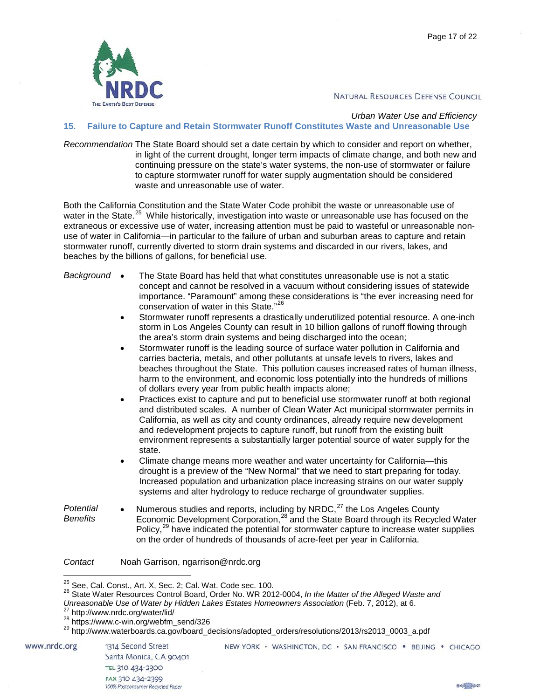

# *Urban Water Use and Efficiency*

# <span id="page-17-0"></span>**15. Failure to Capture and Retain Stormwater Runoff Constitutes Waste and Unreasonable Use**

*Recommendation* The State Board should set a date certain by which to consider and report on whether, in light of the current drought, longer term impacts of climate change, and both new and continuing pressure on the state's water systems, the non-use of stormwater or failure to capture stormwater runoff for water supply augmentation should be considered waste and unreasonable use of water.

Both the California Constitution and the State Water Code prohibit the waste or unreasonable use of water in the State.<sup>[25](#page-17-1)</sup> While historically, investigation into waste or unreasonable use has focused on the extraneous or excessive use of water, increasing attention must be paid to wasteful or unreasonable nonuse of water in California—in particular to the failure of urban and suburban areas to capture and retain stormwater runoff, currently diverted to storm drain systems and discarded in our rivers, lakes, and beaches by the billions of gallons, for beneficial use.

- *Background* The State Board has held that what constitutes unreasonable use is not a static concept and cannot be resolved in a vacuum without considering issues of statewide importance. "Paramount" among these considerations is "the ever increasing need for conservation of water in this State."[26](#page-17-2)
	- Stormwater runoff represents a drastically underutilized potential resource. A one-inch storm in Los Angeles County can result in 10 billion gallons of runoff flowing through the area's storm drain systems and being discharged into the ocean;
	- Stormwater runoff is the leading source of surface water pollution in California and carries bacteria, metals, and other pollutants at unsafe levels to rivers, lakes and beaches throughout the State. This pollution causes increased rates of human illness, harm to the environment, and economic loss potentially into the hundreds of millions of dollars every year from public health impacts alone;
	- Practices exist to capture and put to beneficial use stormwater runoff at both regional and distributed scales. A number of Clean Water Act municipal stormwater permits in California, as well as city and county ordinances, already require new development and redevelopment projects to capture runoff, but runoff from the existing built environment represents a substantially larger potential source of water supply for the state.
	- Climate change means more weather and water uncertainty for California—this drought is a preview of the "New Normal" that we need to start preparing for today. Increased population and urbanization place increasing strains on our water supply systems and alter hydrology to reduce recharge of groundwater supplies.
- *Potential Benefits* Numerous studies and reports, including by NRDC, $^{27}$  $^{27}$  $^{27}$  the Los Angeles County Economic Development Corporation,<sup>[28](#page-17-4)</sup> and the State Board through its Recycled Water Policy,<sup>[29](#page-17-5)</sup> have indicated the potential for stormwater capture to increase water supplies on the order of hundreds of thousands of acre-feet per year in California.
- *Contact* Noah Garrison, ngarrison@nrdc.org

<span id="page-17-5"></span><span id="page-17-4"></span><span id="page-17-3"></span><span id="page-17-2"></span>www.nrdc.org



<span id="page-17-1"></span><sup>&</sup>lt;sup>25</sup> See, Cal. Const., Art. X, Sec. 2; Cal. Wat. Code sec. 100.<br><sup>26</sup> State Water Resources Control Board, Order No. WR 2012-0004, *In the Matter of the Alleged Waste and* 

Unreasonable Use of Water by Hidden Lakes Estates Homeowners Association (Feb. 7, 2012), at 6.<br><sup>27</sup> http://www.nrdc.org/water/lid/<br><sup>28</sup> https://www.c-win.org/webfm\_send/326<br><sup>29</sup> http://www.waterboards.ca.gov/board\_decision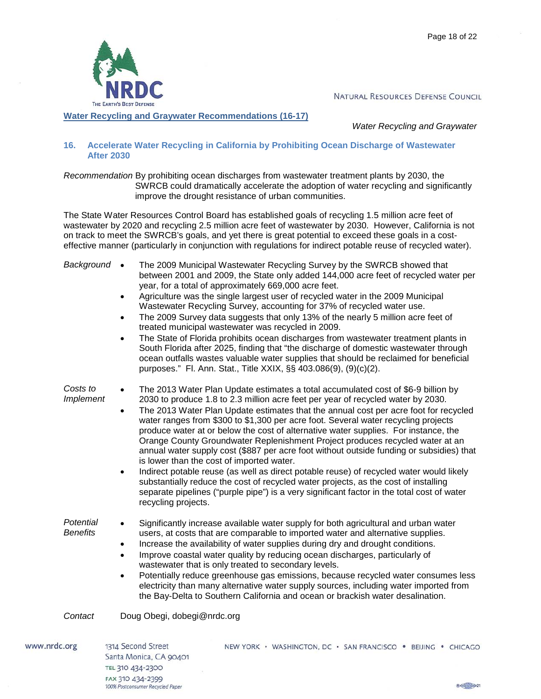

<span id="page-18-0"></span>**Water Recycling and Graywater Recommendations (16-17)**

*Water Recycling and Graywater*

#### <span id="page-18-1"></span>**16. Accelerate Water Recycling in California by Prohibiting Ocean Discharge of Wastewater After 2030**

*Recommendation* By prohibiting ocean discharges from wastewater treatment plants by 2030, the SWRCB could dramatically accelerate the adoption of water recycling and significantly improve the drought resistance of urban communities.

The State Water Resources Control Board has established goals of recycling 1.5 million acre feet of wastewater by 2020 and recycling 2.5 million acre feet of wastewater by 2030. However, California is not on track to meet the SWRCB's goals, and yet there is great potential to exceed these goals in a costeffective manner (particularly in conjunction with regulations for indirect potable reuse of recycled water).

| Background                   | The 2009 Municipal Wastewater Recycling Survey by the SWRCB showed that<br>$\bullet$<br>between 2001 and 2009, the State only added 144,000 acre feet of recycled water per<br>year, for a total of approximately 669,000 acre feet.<br>Agriculture was the single largest user of recycled water in the 2009 Municipal<br>٠<br>Wastewater Recycling Survey, accounting for 37% of recycled water use.<br>The 2009 Survey data suggests that only 13% of the nearly 5 million acre feet of<br>$\bullet$<br>treated municipal wastewater was recycled in 2009.<br>The State of Florida prohibits ocean discharges from wastewater treatment plants in<br>$\bullet$<br>South Florida after 2025, finding that "the discharge of domestic wastewater through<br>ocean outfalls wastes valuable water supplies that should be reclaimed for beneficial<br>purposes." Fl. Ann. Stat., Title XXIX, §§ 403.086(9), (9)(c)(2).                                                                                             |
|------------------------------|--------------------------------------------------------------------------------------------------------------------------------------------------------------------------------------------------------------------------------------------------------------------------------------------------------------------------------------------------------------------------------------------------------------------------------------------------------------------------------------------------------------------------------------------------------------------------------------------------------------------------------------------------------------------------------------------------------------------------------------------------------------------------------------------------------------------------------------------------------------------------------------------------------------------------------------------------------------------------------------------------------------------|
| Costs to<br>Implement        | The 2013 Water Plan Update estimates a total accumulated cost of \$6-9 billion by<br>$\bullet$<br>2030 to produce 1.8 to 2.3 million acre feet per year of recycled water by 2030.<br>The 2013 Water Plan Update estimates that the annual cost per acre foot for recycled<br>$\bullet$<br>water ranges from \$300 to \$1,300 per acre foot. Several water recycling projects<br>produce water at or below the cost of alternative water supplies. For instance, the<br>Orange County Groundwater Replenishment Project produces recycled water at an<br>annual water supply cost (\$887 per acre foot without outside funding or subsidies) that<br>is lower than the cost of imported water.<br>Indirect potable reuse (as well as direct potable reuse) of recycled water would likely<br>$\bullet$<br>substantially reduce the cost of recycled water projects, as the cost of installing<br>separate pipelines ("purple pipe") is a very significant factor in the total cost of water<br>recycling projects. |
| Potential<br><b>Benefits</b> | Significantly increase available water supply for both agricultural and urban water<br>$\bullet$<br>users, at costs that are comparable to imported water and alternative supplies.<br>Increase the availability of water supplies during dry and drought conditions.<br>Improve coastal water quality by reducing ocean discharges, particularly of<br>٠<br>wastewater that is only treated to secondary levels.<br>Potentially reduce greenhouse gas emissions, because recycled water consumes less<br>$\bullet$<br>electricity than many alternative water supply sources, including water imported from<br>the Bay-Delta to Southern California and ocean or brackish water desalination.                                                                                                                                                                                                                                                                                                                     |
| Contact                      | Doug Obegi, dobegi@nrdc.org                                                                                                                                                                                                                                                                                                                                                                                                                                                                                                                                                                                                                                                                                                                                                                                                                                                                                                                                                                                        |

www.nrdc.org

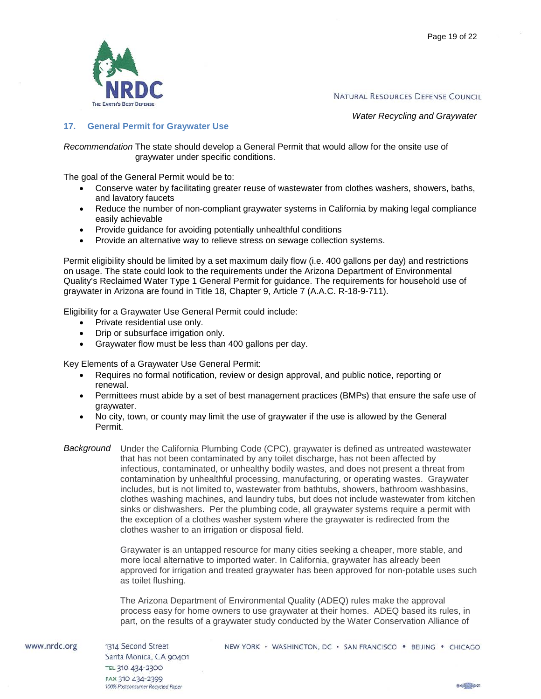

*Water Recycling and Graywater*

### <span id="page-19-0"></span>**17. General Permit for Graywater Use**

*Recommendation* The state should develop a General Permit that would allow for the onsite use of graywater under specific conditions.

The goal of the General Permit would be to:

- Conserve water by facilitating greater reuse of wastewater from clothes washers, showers, baths, and lavatory faucets
- Reduce the number of non-compliant graywater systems in California by making legal compliance easily achievable
- Provide guidance for avoiding potentially unhealthful conditions
- Provide an alternative way to relieve stress on sewage collection systems.

Permit eligibility should be limited by a set maximum daily flow (i.e. 400 gallons per day) and restrictions on usage. The state could look to the requirements under the Arizona Department of Environmental Quality's Reclaimed Water Type 1 General Permit for guidance. The requirements for household use of graywater in Arizona are found in Title 18, Chapter 9, Article 7 (A.A.C. R-18-9-711).

Eligibility for a Graywater Use General Permit could include:

- Private residential use only.
- Drip or subsurface irrigation only.
- Graywater flow must be less than 400 gallons per day.

Key Elements of a Graywater Use General Permit:

- Requires no formal notification, review or design approval, and public notice, reporting or renewal.
- Permittees must abide by a set of best management practices (BMPs) that ensure the safe use of graywater.
- No city, town, or county may limit the use of graywater if the use is allowed by the General Permit.
- *Background* Under the California Plumbing Code (CPC), graywater is defined as untreated wastewater that has not been contaminated by any toilet discharge, has not been affected by infectious, contaminated, or unhealthy bodily wastes, and does not present a threat from contamination by unhealthful processing, manufacturing, or operating wastes. Graywater includes, but is not limited to, wastewater from bathtubs, showers, bathroom washbasins, clothes washing machines, and laundry tubs, but does not include wastewater from kitchen sinks or dishwashers. Per the plumbing code, all graywater systems require a permit with the exception of a clothes washer system where the graywater is redirected from the clothes washer to an irrigation or disposal field.

Graywater is an untapped resource for many cities seeking a cheaper, more stable, and more local alternative to imported water. In California, graywater has already been approved for irrigation and treated graywater has been approved for non-potable uses such as toilet flushing.

The Arizona Department of Environmental Quality (ADEQ) rules make the approval process easy for home owners to use graywater at their homes. ADEQ based its rules, in part, on the results of a graywater study conducted by the Water Conservation Alliance of

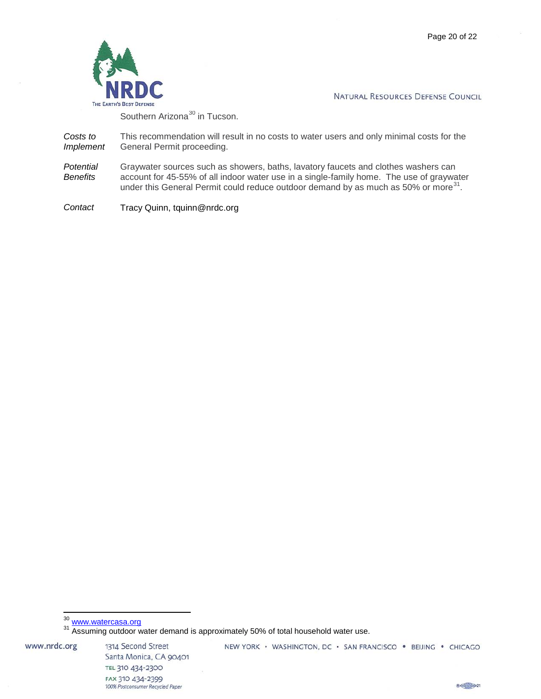

Southern Arizona<sup>[30](#page-20-0)</sup> in Tucson.

*Costs to Implement* This recommendation will result in no costs to water users and only minimal costs for the General Permit proceeding.

*Potential Benefits* Graywater sources such as showers, baths, lavatory faucets and clothes washers can account for 45-55% of all indoor water use in a single-family home. The use of graywater under this General Permit could reduce outdoor demand by as much as 50% or more $^{31}$ .

*Contact* Tracy Quinn, tquinn@nrdc.org

<span id="page-20-1"></span><span id="page-20-0"></span>www.nrdc.org

1314 Second Street Santa Monica, CA 90401 TEL 310 434-2300 FAX 310 434-2399 100% Postconsumer Recycled Paper

NEW YORK · WASHINGTON, DC · SAN FRANCISCO · BEIJING · CHICAGO



<sup>&</sup>lt;sup>30</sup> [www.watercasa.org](http://www.watercasa.org/)<br><sup>31</sup> Assuming outdoor water demand is approximately 50% of total household water use.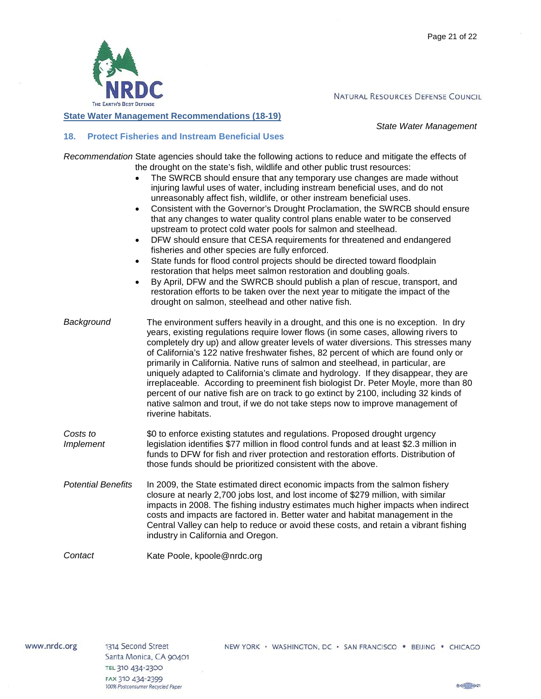

<span id="page-21-0"></span>**State Water Management Recommendations (18-19)**

*State Water Management*

# <span id="page-21-1"></span>**18. Protect Fisheries and Instream Beneficial Uses**

*Recommendation* State agencies should take the following actions to reduce and mitigate the effects of the drought on the state's fish, wildlife and other public trust resources:

- The SWRCB should ensure that any temporary use changes are made without injuring lawful uses of water, including instream beneficial uses, and do not unreasonably affect fish, wildlife, or other instream beneficial uses.
- Consistent with the Governor's Drought Proclamation, the SWRCB should ensure that any changes to water quality control plans enable water to be conserved upstream to protect cold water pools for salmon and steelhead.
- DFW should ensure that CESA requirements for threatened and endangered fisheries and other species are fully enforced.
- State funds for flood control projects should be directed toward floodplain restoration that helps meet salmon restoration and doubling goals.
- By April, DFW and the SWRCB should publish a plan of rescue, transport, and restoration efforts to be taken over the next year to mitigate the impact of the drought on salmon, steelhead and other native fish.
- *Background* The environment suffers heavily in a drought, and this one is no exception. In dry years, existing regulations require lower flows (in some cases, allowing rivers to completely dry up) and allow greater levels of water diversions. This stresses many of California's 122 native freshwater fishes, 82 percent of which are found only or primarily in California. Native runs of salmon and steelhead, in particular, are uniquely adapted to California's climate and hydrology. If they disappear, they are irreplaceable. According to preeminent fish biologist Dr. Peter Moyle, more than 80 percent of our native fish are on track to go extinct by 2100, including 32 kinds of native salmon and trout, if we do not take steps now to improve management of riverine habitats.
- *Costs to Implement* \$0 to enforce existing statutes and regulations. Proposed drought urgency legislation identifies \$77 million in flood control funds and at least \$2.3 million in funds to DFW for fish and river protection and restoration efforts. Distribution of those funds should be prioritized consistent with the above.
- *Potential Benefits* In 2009, the State estimated direct economic impacts from the salmon fishery closure at nearly 2,700 jobs lost, and lost income of \$279 million, with similar impacts in 2008. The fishing industry estimates much higher impacts when indirect costs and impacts are factored in. Better water and habitat management in the Central Valley can help to reduce or avoid these costs, and retain a vibrant fishing industry in California and Oregon.

*Contact* Kate Poole, kpoole@nrdc.org